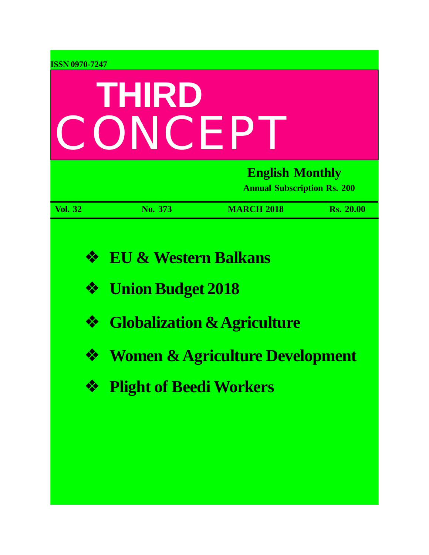| <b>ISSN 0970-7247</b> |                                 |                                                              |                  |  |  |
|-----------------------|---------------------------------|--------------------------------------------------------------|------------------|--|--|
|                       | THIRD                           |                                                              |                  |  |  |
| CONCEP                |                                 |                                                              |                  |  |  |
|                       |                                 | <b>English Monthly</b><br><b>Annual Subscription Rs. 200</b> |                  |  |  |
| <b>Vol. 32</b>        | No. 373                         | <b>MARCH 2018</b>                                            | <b>Rs. 20.00</b> |  |  |
| ❖                     | <b>EU &amp; Western Balkans</b> |                                                              |                  |  |  |
| ❖                     | <b>Union Budget 2018</b>        |                                                              |                  |  |  |
| ❖                     |                                 | <b>Globalization &amp; Agriculture</b>                       |                  |  |  |
| ❖                     |                                 | <b>Women &amp; Agriculture Development</b>                   |                  |  |  |
| ❖                     | <b>Plight of Beedi Workers</b>  |                                                              |                  |  |  |
|                       |                                 |                                                              |                  |  |  |
|                       |                                 |                                                              |                  |  |  |
|                       |                                 |                                                              |                  |  |  |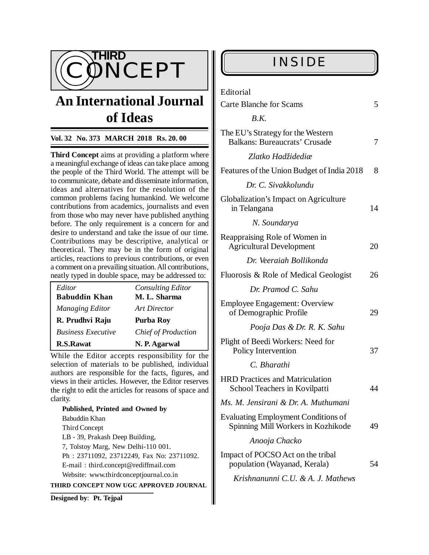

# **An International Journal of Ideas**

### **Vol. 32 No. 373 MARCH 2018 Rs. 20. 00**

**Third Concept** aims at providing a platform where a meaningful exchange of ideas can take place among the people of the Third World. The attempt will be to communicate, debate and disseminate information, ideas and alternatives for the resolution of the common problems facing humankind. We welcome contributions from academics, journalists and even from those who may never have published anything before. The only requirement is a concern for and desire to understand and take the issue of our time. Contributions may be descriptive, analytical or theoretical. They may be in the form of original articles, reactions to previous contributions, or even a comment on a prevailing situation. All contributions, neatly typed in double space, may be addressed to:

| Editor                    | <b>Consulting Editor</b>   |
|---------------------------|----------------------------|
| <b>Babuddin Khan</b>      | M. L. Sharma               |
| Managing Editor           | Art Director               |
| R. Prudhvi Raju           | Purba Roy                  |
| <b>Business Executive</b> | <b>Chief of Production</b> |
| <b>R.S.Rawat</b>          | N. P. Agarwal              |

While the Editor accepts responsibility for the selection of materials to be published, individual authors are responsible for the facts, figures, and views in their articles. However, the Editor reserves the right to edit the articles for reasons of space and clarity.

**Published, Printed and Owned by** Babuddin Khan Third Concept LB - 39, Prakash Deep Building, 7, Tolstoy Marg, New Delhi-110 001. Ph : 23711092, 23712249, Fax No: 23711092. E-mail : [third.concept@rediffmail.com](mailto:third.concept@rediffmail.com) Website: [www.thirdconceptjournal.co.in](http://www.thirdconceptjournal.co.in) **THIRD CONCEPT NOW UGC APPROVED JOURNAL**

**Designed by**: **Pt. Tejpal**

| Editorial                                                                        |    |  |
|----------------------------------------------------------------------------------|----|--|
| <b>Carte Blanche for Scams</b>                                                   | 5  |  |
| B.K.                                                                             |    |  |
| The EU's Strategy for the Western<br><b>Balkans: Bureaucrats' Crusade</b>        |    |  |
| Zlatko Hadžidediæ                                                                |    |  |
| Features of the Union Budget of India 2018                                       | 8  |  |
| Dr. C. Sivakkolundu                                                              |    |  |
| Globalization's Impact on Agriculture<br>in Telangana                            |    |  |
| N. Soundarya                                                                     |    |  |
| Reappraising Role of Women in<br><b>Agricultural Development</b>                 |    |  |
| Dr. Veeraiah Bollikonda                                                          |    |  |
| Fluorosis & Role of Medical Geologist                                            |    |  |
| Dr. Pramod C. Sahu                                                               |    |  |
| <b>Employee Engagement: Overview</b><br>of Demographic Profile                   | 29 |  |
| Pooja Das & Dr. R. K. Sahu                                                       |    |  |
| Plight of Beedi Workers: Need for<br>Policy Intervention                         | 37 |  |
| C. Bharathi                                                                      |    |  |
| <b>HRD Practices and Matriculation</b><br>School Teachers in Kovilpatti          | 44 |  |
| Ms. M. Jensirani & Dr. A. Muthumani                                              |    |  |
| <b>Evaluating Employment Conditions of</b><br>Spinning Mill Workers in Kozhikode | 49 |  |
| Anooja Chacko                                                                    |    |  |
| Impact of POCSO Act on the tribal<br>population (Wayanad, Kerala)                | 54 |  |
| Krishnanunni C.U. & A. J. Mathews                                                |    |  |